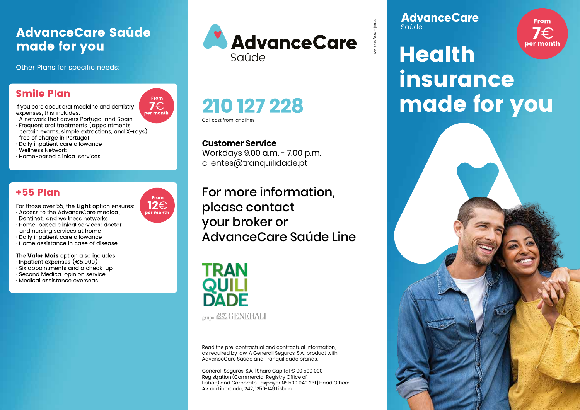# **AdvanceCare Saúde** made for you

Other Plans for specific needs:

# **Smile Plan**

If you care about oral medicine and dentistry expenses, this includes:

- · A network that covers Portugal and Spain
- · Frequent oral treatments (appointments, certain exams, simple extractions, and X-rays) free of charae in Portuaal
- · Daily inpatient care allowance
- · Wellness Network
- · Home-based clinical services

## **+55 Plan**

- For those over 55, the Light option ensures:
- · Access to the AdvanceCare medical, Dentinet, and wellness networks
- · Home-based clinical services: doctor
- and nursing services at home
- · Daily inpatient care allowance
- $\cdot$  Home assistance in case of disease

The Valor Mais option also includes:

- $\cdot$  Inpatient expenses (€5.000)
- $\cdot$  Six appointments and a check-up
- · Second Medical opinion service
- · Medical assistance overseas





Call cost from landlines

### **Customer Service**

210 127 228

Workdays 9.00 a.m. - 7.00 p.m. clientes@tranguilidade.pt

For more information, please contact your broker or AdvanceCare Saúde Line



Read the pre-contractual and contractual information, as required by law. A Generali Seguros, S.A., product with AdvanceCare Saúde and Tranquilidade brands.

Generali Seguros, S.A. | Share Capital € 90 500 000 Registration (Commercial Registry Office of Lisbon) and Corporate Taxpayer Nº 500 940 231 | Head Office: Av. da Liberdade, 242. 1250-149 Lisbon.

**AdvanceCare** Saúde



# **Health** insurance made for you





From

 $7 \in$ 

per month